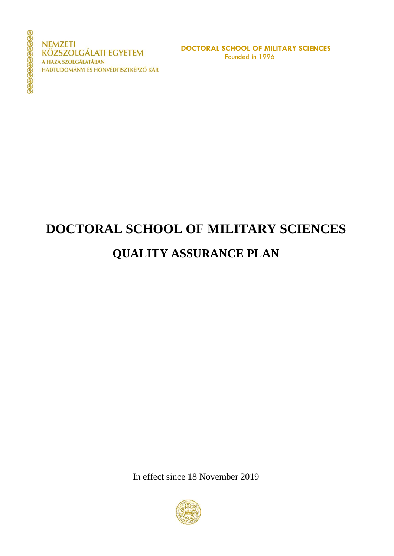**NEMZETI KÖZSZOLGÁLATI EGYETEM** A HAZA SZOLGÁLATÁBAN HADTUDOMÁNYI ÉS HONVÉDTISZTKÉPZŐ KAR

# **DOCTORAL SCHOOL OF MILITARY SCIENCES**

# **QUALITY ASSURANCE PLAN**

In effect since 18 November 2019

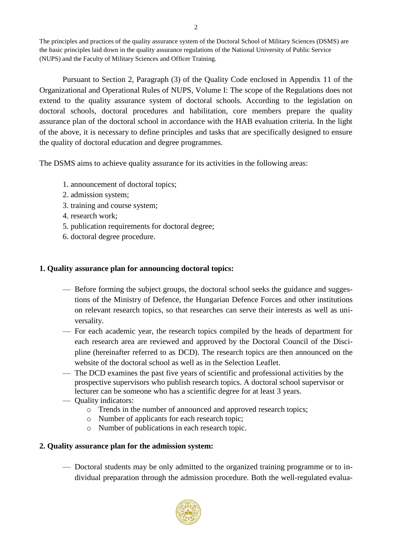The principles and practices of the quality assurance system of the Doctoral School of Military Sciences (DSMS) are the basic principles laid down in the quality assurance regulations of the National University of Public Service (NUPS) and the Faculty of Military Sciences and Officer Training.

Pursuant to Section 2, Paragraph (3) of the Quality Code enclosed in Appendix 11 of the Organizational and Operational Rules of NUPS, Volume I: The scope of the Regulations does not extend to the quality assurance system of doctoral schools. According to the legislation on doctoral schools, doctoral procedures and habilitation, core members prepare the quality assurance plan of the doctoral school in accordance with the HAB evaluation criteria. In the light of the above, it is necessary to define principles and tasks that are specifically designed to ensure the quality of doctoral education and degree programmes.

The DSMS aims to achieve quality assurance for its activities in the following areas:

- 1. announcement of doctoral topics;
- 2. admission system;
- 3. training and course system;
- 4. research work;
- 5. publication requirements for doctoral degree;
- 6. doctoral degree procedure.

## **1. Quality assurance plan for announcing doctoral topics:**

- Before forming the subject groups, the doctoral school seeks the guidance and suggestions of the Ministry of Defence, the Hungarian Defence Forces and other institutions on relevant research topics, so that researches can serve their interests as well as universality.
- For each academic year, the research topics compiled by the heads of department for each research area are reviewed and approved by the Doctoral Council of the Discipline (hereinafter referred to as DCD). The research topics are then announced on the website of the doctoral school as well as in the Selection Leaflet.
- The DCD examines the past five years of scientific and professional activities by the prospective supervisors who publish research topics. A doctoral school supervisor or lecturer can be someone who has a scientific degree for at least 3 years.
- Quality indicators:
	- o Trends in the number of announced and approved research topics;
	- o Number of applicants for each research topic;
	- o Number of publications in each research topic.

## **2. Quality assurance plan for the admission system:**

— Doctoral students may be only admitted to the organized training programme or to individual preparation through the admission procedure. Both the well-regulated evalua-

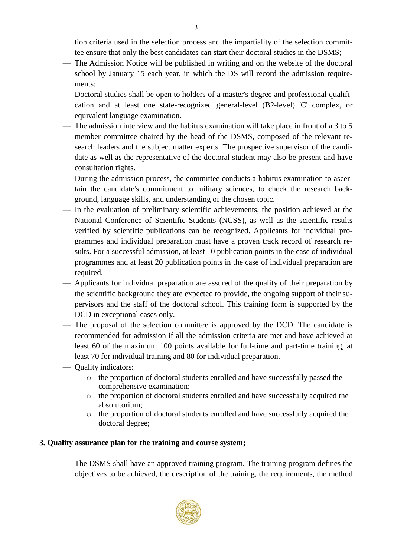tion criteria used in the selection process and the impartiality of the selection committee ensure that only the best candidates can start their doctoral studies in the DSMS;

- The Admission Notice will be published in writing and on the website of the doctoral school by January 15 each year, in which the DS will record the admission requirements;
- Doctoral studies shall be open to holders of a master's degree and professional qualification and at least one state-recognized general-level (B2-level) 'C' complex, or equivalent language examination.
- The admission interview and the habitus examination will take place in front of a 3 to 5 member committee chaired by the head of the DSMS, composed of the relevant research leaders and the subject matter experts. The prospective supervisor of the candidate as well as the representative of the doctoral student may also be present and have consultation rights.
- During the admission process, the committee conducts a habitus examination to ascertain the candidate's commitment to military sciences, to check the research background, language skills, and understanding of the chosen topic.
- In the evaluation of preliminary scientific achievements, the position achieved at the National Conference of Scientific Students (NCSS), as well as the scientific results verified by scientific publications can be recognized. Applicants for individual programmes and individual preparation must have a proven track record of research results. For a successful admission, at least 10 publication points in the case of individual programmes and at least 20 publication points in the case of individual preparation are required.
- Applicants for individual preparation are assured of the quality of their preparation by the scientific background they are expected to provide, the ongoing support of their supervisors and the staff of the doctoral school. This training form is supported by the DCD in exceptional cases only.
- The proposal of the selection committee is approved by the DCD. The candidate is recommended for admission if all the admission criteria are met and have achieved at least 60 of the maximum 100 points available for full-time and part-time training, at least 70 for individual training and 80 for individual preparation.
- Quality indicators:
	- o the proportion of doctoral students enrolled and have successfully passed the comprehensive examination;
	- o the proportion of doctoral students enrolled and have successfully acquired the absolutorium;
	- o the proportion of doctoral students enrolled and have successfully acquired the doctoral degree;

## **3. Quality assurance plan for the training and course system;**

— The DSMS shall have an approved training program. The training program defines the objectives to be achieved, the description of the training, the requirements, the method



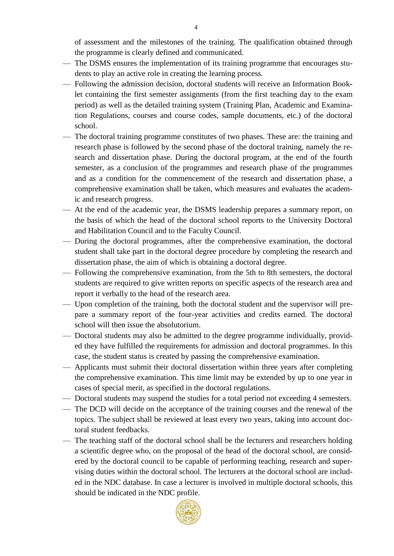of assessment and the milestones of the training. The qualification obtained through the programme is clearly defined and communicated.

- The DSMS ensures the implementation of its training programme that encourages students to play an active role in creating the learning process.
- Following the admission decision, doctoral students will receive an Information Booklet containing the first semester assignments (from the first teaching day to the exam period) as well as the detailed training system (Training Plan, Academic and Examination Regulations, courses and course codes, sample documents, etc.) of the doctoral school.
- The doctoral training programme constitutes of two phases. These are: the training and research phase is followed by the second phase of the doctoral training, namely the research and dissertation phase. During the doctoral program, at the end of the fourth semester, as a conclusion of the programmes and research phase of the programmes and as a condition for the commencement of the research and dissertation phase, a comprehensive examination shall be taken, which measures and evaluates the academic and research progress.
- At the end of the academic year, the DSMS leadership prepares a summary report, on the basis of which the head of the doctoral school reports to the University Doctoral and Habilitation Council and to the Faculty Council.
- During the doctoral programmes, after the comprehensive examination, the doctoral student shall take part in the doctoral degree procedure by completing the research and dissertation phase, the aim of which is obtaining a doctoral degree.
- Following the comprehensive examination, from the 5th to 8th semesters, the doctoral students are required to give written reports on specific aspects of the research area and report it verbally to the head of the research area.
- Upon completion of the training, both the doctoral student and the supervisor will prepare a summary report of the four-year activities and credits earned. The doctoral school will then issue the absolutorium.
- Doctoral students may also be admitted to the degree programme individually, provided they have fulfilled the requirements for admission and doctoral programmes. In this case, the student status is created by passing the comprehensive examination.
- Applicants must submit their doctoral dissertation within three years after completing the comprehensive examination. This time limit may be extended by up to one year in cases of special merit, as specified in the doctoral regulations.
- Doctoral students may suspend the studies for a total period not exceeding 4 semesters.
- The DCD will decide on the acceptance of the training courses and the renewal of the topics. The subject shall be reviewed at least every two years, taking into account doctoral student feedbacks.
- The teaching staff of the doctoral school shall be the lecturers and researchers holding a scientific degree who, on the proposal of the head of the doctoral school, are considered by the doctoral council to be capable of performing teaching, research and supervising duties within the doctoral school. The lecturers at the doctoral school are included in the NDC database. In case a lecturer is involved in multiple doctoral schools, this should be indicated in the NDC profile.



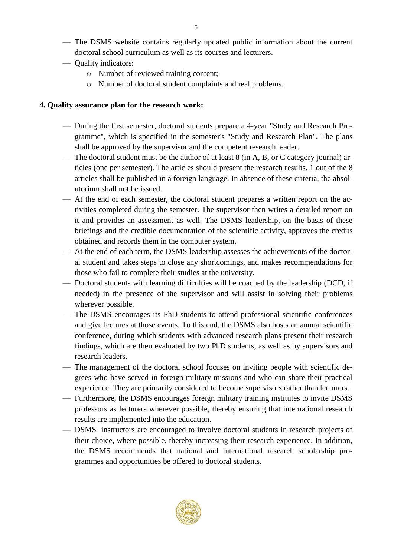- The DSMS website contains regularly updated public information about the current doctoral school curriculum as well as its courses and lecturers.
- Quality indicators:
	- o Number of reviewed training content;
	- o Number of doctoral student complaints and real problems.

#### **4. Quality assurance plan for the research work:**

- During the first semester, doctoral students prepare a 4-year "Study and Research Programme", which is specified in the semester's "Study and Research Plan". The plans shall be approved by the supervisor and the competent research leader.
- The doctoral student must be the author of at least 8 (in A, B, or C category journal) articles (one per semester). The articles should present the research results. 1 out of the 8 articles shall be published in a foreign language. In absence of these criteria, the absolutorium shall not be issued.
- At the end of each semester, the doctoral student prepares a written report on the activities completed during the semester. The supervisor then writes a detailed report on it and provides an assessment as well. The DSMS leadership, on the basis of these briefings and the credible documentation of the scientific activity, approves the credits obtained and records them in the computer system.
- At the end of each term, the DSMS leadership assesses the achievements of the doctoral student and takes steps to close any shortcomings, and makes recommendations for those who fail to complete their studies at the university.
- Doctoral students with learning difficulties will be coached by the leadership (DCD, if needed) in the presence of the supervisor and will assist in solving their problems wherever possible.
- The DSMS encourages its PhD students to attend professional scientific conferences and give lectures at those events. To this end, the DSMS also hosts an annual scientific conference, during which students with advanced research plans present their research findings, which are then evaluated by two PhD students, as well as by supervisors and research leaders.
- The management of the doctoral school focuses on inviting people with scientific degrees who have served in foreign military missions and who can share their practical experience. They are primarily considered to become supervisors rather than lecturers.
- Furthermore, the DSMS encourages foreign military training institutes to invite DSMS professors as lecturers wherever possible, thereby ensuring that international research results are implemented into the education.
- DSMS instructors are encouraged to involve doctoral students in research projects of their choice, where possible, thereby increasing their research experience. In addition, the DSMS recommends that national and international research scholarship programmes and opportunities be offered to doctoral students.

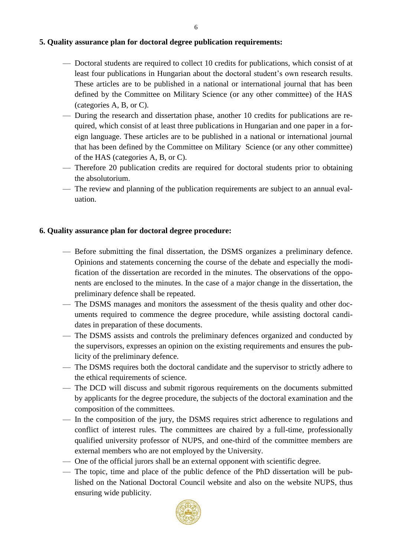#### **5. Quality assurance plan for doctoral degree publication requirements:**

- Doctoral students are required to collect 10 credits for publications, which consist of at least four publications in Hungarian about the doctoral student's own research results. These articles are to be published in a national or international journal that has been defined by the Committee on Military Science (or any other committee) of the HAS (categories A, B, or C).
- During the research and dissertation phase, another 10 credits for publications are required, which consist of at least three publications in Hungarian and one paper in a foreign language. These articles are to be published in a national or international journal that has been defined by the Committee on Military Science (or any other committee) of the HAS (categories A, B, or C).
- Therefore 20 publication credits are required for doctoral students prior to obtaining the absolutorium.
- The review and planning of the publication requirements are subject to an annual evaluation.

#### **6. Quality assurance plan for doctoral degree procedure:**

- Before submitting the final dissertation, the DSMS organizes a preliminary defence. Opinions and statements concerning the course of the debate and especially the modification of the dissertation are recorded in the minutes. The observations of the opponents are enclosed to the minutes. In the case of a major change in the dissertation, the preliminary defence shall be repeated.
- The DSMS manages and monitors the assessment of the thesis quality and other documents required to commence the degree procedure, while assisting doctoral candidates in preparation of these documents.
- The DSMS assists and controls the preliminary defences organized and conducted by the supervisors, expresses an opinion on the existing requirements and ensures the publicity of the preliminary defence.
- The DSMS requires both the doctoral candidate and the supervisor to strictly adhere to the ethical requirements of science.
- The DCD will discuss and submit rigorous requirements on the documents submitted by applicants for the degree procedure, the subjects of the doctoral examination and the composition of the committees.
- In the composition of the jury, the DSMS requires strict adherence to regulations and conflict of interest rules. The committees are chaired by a full-time, professionally qualified university professor of NUPS, and one-third of the committee members are external members who are not employed by the University.
- One of the official jurors shall be an external opponent with scientific degree.
- The topic, time and place of the public defence of the PhD dissertation will be published on the National Doctoral Council website and also on the website NUPS, thus ensuring wide publicity.